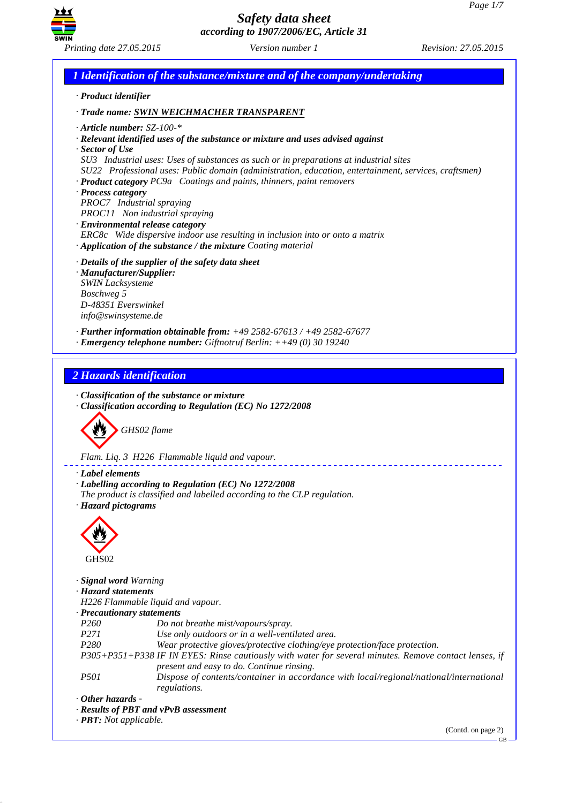

*1 Identification of the substance/mixture and of the company/undertaking · Product identifier*

*· Trade name: SWIN WEICHMACHER TRANSPARENT*

- *· Article number: SZ-100-\**
- *· Relevant identified uses of the substance or mixture and uses advised against*
- *· Sector of Use*
- *SU3 Industrial uses: Uses of substances as such or in preparations at industrial sites*
- *SU22 Professional uses: Public domain (administration, education, entertainment, services, craftsmen)*
- *· Product category PC9a Coatings and paints, thinners, paint removers*
- *· Process category*
- *PROC7 Industrial spraying*
- *PROC11 Non industrial spraying*
- *· Environmental release category*
- *ERC8c Wide dispersive indoor use resulting in inclusion into or onto a matrix · Application of the substance / the mixture Coating material*
- *· Details of the supplier of the safety data sheet*
- *· Manufacturer/Supplier: SWIN Lacksysteme Boschweg 5 D-48351 Everswinkel info@swinsysteme.de*
- *· Further information obtainable from: +49 2582-67613 / +49 2582-67677*
- *· Emergency telephone number: Giftnotruf Berlin: ++49 (0) 30 19240*

*2 Hazards identification*

- *· Classification of the substance or mixture*
- *· Classification according to Regulation (EC) No 1272/2008*



*Flam. Liq. 3 H226 Flammable liquid and vapour.*

- *· Label elements*
- *· Labelling according to Regulation (EC) No 1272/2008*
- *The product is classified and labelled according to the CLP regulation.*
- *· Hazard pictograms*



*· Signal word Warning*

*· Hazard statements*

*H226 Flammable liquid and vapour.*

*· Precautionary statements*

- *P260 Do not breathe mist/vapours/spray.*
- *P271 Use only outdoors or in a well-ventilated area.*
- *P280 Wear protective gloves/protective clothing/eye protection/face protection.*
- *P305+P351+P338 IF IN EYES: Rinse cautiously with water for several minutes. Remove contact lenses, if present and easy to do. Continue rinsing.*
- *P501 Dispose of contents/container in accordance with local/regional/national/international regulations.*
- *· Other hazards*
- *· Results of PBT and vPvB assessment*

*· PBT: Not applicable.*

(Contd. on page 2)

GB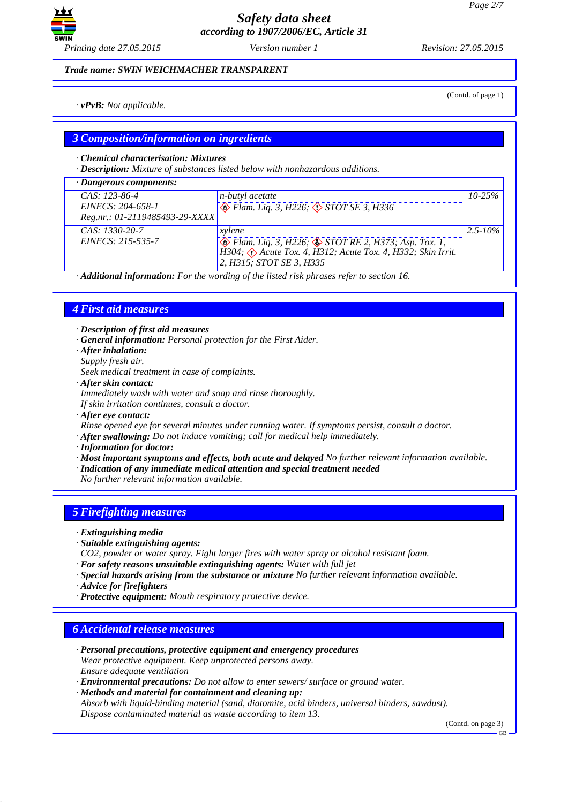

(Contd. of page 1)

*Trade name: SWIN WEICHMACHER TRANSPARENT*

*· vPvB: Not applicable.*

# *3 Composition/information on ingredients*

*· Chemical characterisation: Mixtures*

*· Description: Mixture of substances listed below with nonhazardous additions.*

| $\cdot$ Dangerous components:                                          |                                                                                                                                                                             |              |
|------------------------------------------------------------------------|-----------------------------------------------------------------------------------------------------------------------------------------------------------------------------|--------------|
| $CAS: 123-86-4$<br>EINECS: 204-658-1<br>Reg.nr.: 01-2119485493-29-XXXX | <i>n-butyl acetate</i><br>$\bigotimes$ Flam. Liq. 3, H226; $\bigotimes$ STOT SE 3, H336                                                                                     | $10 - 25%$   |
| $CAS: 1330-20-7$<br>EINECS: 215-535-7                                  | xylene<br><i>De Flam. Liq. 3, H226; &amp; STOT RE 2, H373; Asp. Tox. 1,</i> H304; $\hat{Q}$ Acute Tox. 4, H312; Acute Tox. 4, H332; Skin Irrit.<br>2, H315; STOT SE 3, H335 | $2.5 - 10\%$ |

*· Additional information: For the wording of the listed risk phrases refer to section 16.*

# *4 First aid measures*

*· Description of first aid measures*

- *· General information: Personal protection for the First Aider.*
- *· After inhalation:*
- *Supply fresh air.*
- *Seek medical treatment in case of complaints.*
- *· After skin contact:*
- *Immediately wash with water and soap and rinse thoroughly.*
- *If skin irritation continues, consult a doctor.*
- *· After eye contact:*
- *Rinse opened eye for several minutes under running water. If symptoms persist, consult a doctor.*
- *· After swallowing: Do not induce vomiting; call for medical help immediately.*
- *· Information for doctor:*
- *· Most important symptoms and effects, both acute and delayed No further relevant information available.*
- *· Indication of any immediate medical attention and special treatment needed*
- *No further relevant information available.*

# *5 Firefighting measures*

- *· Extinguishing media*
- *· Suitable extinguishing agents:*
- *CO2, powder or water spray. Fight larger fires with water spray or alcohol resistant foam.*
- *· For safety reasons unsuitable extinguishing agents: Water with full jet*
- *· Special hazards arising from the substance or mixture No further relevant information available.*
- *· Advice for firefighters*
- *· Protective equipment: Mouth respiratory protective device.*

## *6 Accidental release measures*

- *· Personal precautions, protective equipment and emergency procedures Wear protective equipment. Keep unprotected persons away. Ensure adequate ventilation*
- *· Environmental precautions: Do not allow to enter sewers/ surface or ground water.*
- *· Methods and material for containment and cleaning up:*

*Absorb with liquid-binding material (sand, diatomite, acid binders, universal binders, sawdust). Dispose contaminated material as waste according to item 13.*

(Contd. on page 3)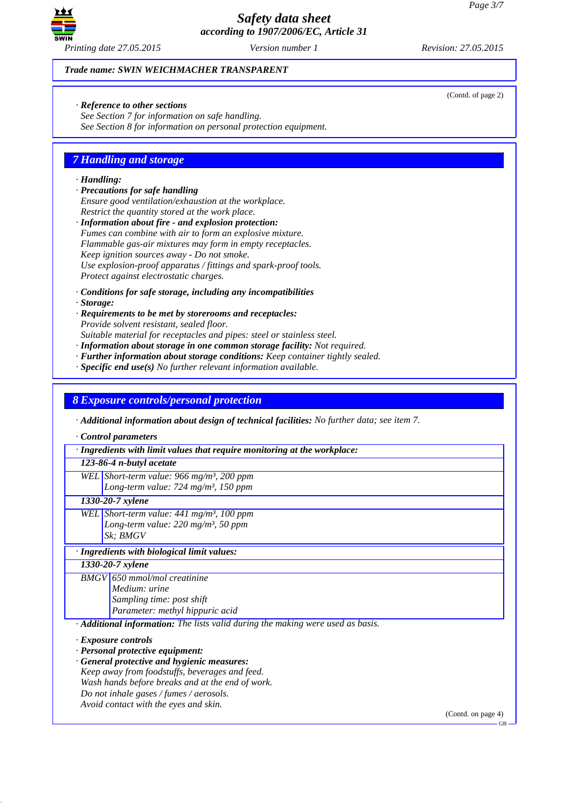

(Contd. of page 2)

*Trade name: SWIN WEICHMACHER TRANSPARENT*

*· Reference to other sections*

*See Section 7 for information on safe handling. See Section 8 for information on personal protection equipment.*

# *7 Handling and storage*

### *· Handling:*

- *· Precautions for safe handling*
- *Ensure good ventilation/exhaustion at the workplace. Restrict the quantity stored at the work place.*
- *· Information about fire and explosion protection: Fumes can combine with air to form an explosive mixture. Flammable gas-air mixtures may form in empty receptacles. Keep ignition sources away - Do not smoke. Use explosion-proof apparatus / fittings and spark-proof tools. Protect against electrostatic charges.*
- *· Conditions for safe storage, including any incompatibilities*
- *· Storage:*
- *· Requirements to be met by storerooms and receptacles: Provide solvent resistant, sealed floor. Suitable material for receptacles and pipes: steel or stainless steel.*
- *· Information about storage in one common storage facility: Not required.*
- *· Further information about storage conditions: Keep container tightly sealed.*
- *· Specific end use(s) No further relevant information available.*

## *8 Exposure controls/personal protection*

*· Additional information about design of technical facilities: No further data; see item 7.*

*· Control parameters*

*· Ingredients with limit values that require monitoring at the workplace:*

## *123-86-4 n-butyl acetate*

*WEL Short-term value: 966 mg/m³, 200 ppm Long-term value: 724 mg/m³, 150 ppm*

# *1330-20-7 xylene*

*WEL Short-term value: 441 mg/m³, 100 ppm Long-term value: 220 mg/m³, 50 ppm Sk; BMGV*

#### *· Ingredients with biological limit values:*

*1330-20-7 xylene*

*BMGV 650 mmol/mol creatinine Medium: urine Sampling time: post shift Parameter: methyl hippuric acid*

*· Additional information: The lists valid during the making were used as basis.*

- *· Personal protective equipment:*
- *· General protective and hygienic measures:*
- *Keep away from foodstuffs, beverages and feed.*
- *Wash hands before breaks and at the end of work.*
- *Do not inhale gases / fumes / aerosols.*
- *Avoid contact with the eyes and skin.*

(Contd. on page 4)

*<sup>·</sup> Exposure controls*

GB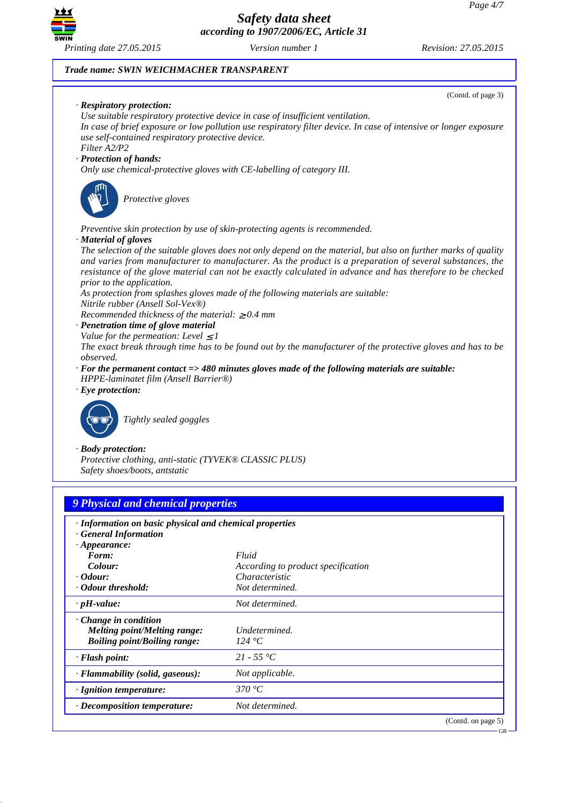

### *Trade name: SWIN WEICHMACHER TRANSPARENT*

(Contd. of page 3) *· Respiratory protection: Use suitable respiratory protective device in case of insufficient ventilation. In case of brief exposure or low pollution use respiratory filter device. In case of intensive or longer exposure use self-contained respiratory protective device. Filter A2/P2 · Protection of hands: Only use chemical-protective gloves with CE-labelling of category III.* **Protective gloves** *Preventive skin protection by use of skin-protecting agents is recommended. · Material of gloves The selection of the suitable gloves does not only depend on the material, but also on further marks of quality and varies from manufacturer to manufacturer. As the product is a preparation of several substances, the resistance of the glove material can not be exactly calculated in advance and has therefore to be checked prior to the application. As protection from splashes gloves made of the following materials are suitable: Nitrile rubber (Ansell Sol-Vex®) Recommended thickness of the material:* ≥ *0.4 mm · Penetration time of glove material Value for the permeation: Level*  $\leq$  *1 The exact break through time has to be found out by the manufacturer of the protective gloves and has to be observed. · For the permanent contact => 480 minutes gloves made of the following materials are suitable: HPPE-laminatet film (Ansell Barrier®) · Eye protection:* `R*Tightly sealed goggles · Body protection: Protective clothing, anti-static (TYVEK® CLASSIC PLUS) Safety shoes/boots, antstatic 9 Physical and chemical properties · Information on basic physical and chemical properties · General Information · Appearance: Form: Fluid Colour: According to product specification · Odour: Characteristic · Odour threshold: Not determined.*

| $\cdot$ pH-value:                                                                                         | Not determined.         |
|-----------------------------------------------------------------------------------------------------------|-------------------------|
| $\cdot$ Change in condition<br><b>Melting point/Melting range:</b><br><b>Boiling point/Boiling range:</b> | Undetermined.<br>124 °C |
| $\cdot$ Flash point:                                                                                      | 21 - 55 °C              |
| · Flammability (solid, gaseous):                                                                          | Not applicable.         |
| $\cdot$ Ignition temperature:                                                                             | 370 °C.                 |
| $\cdot$ Decomposition temperature:                                                                        | Not determined.         |
|                                                                                                           | $(0.01)$ $(0.01)$       |

(Contd. on page 5)

GB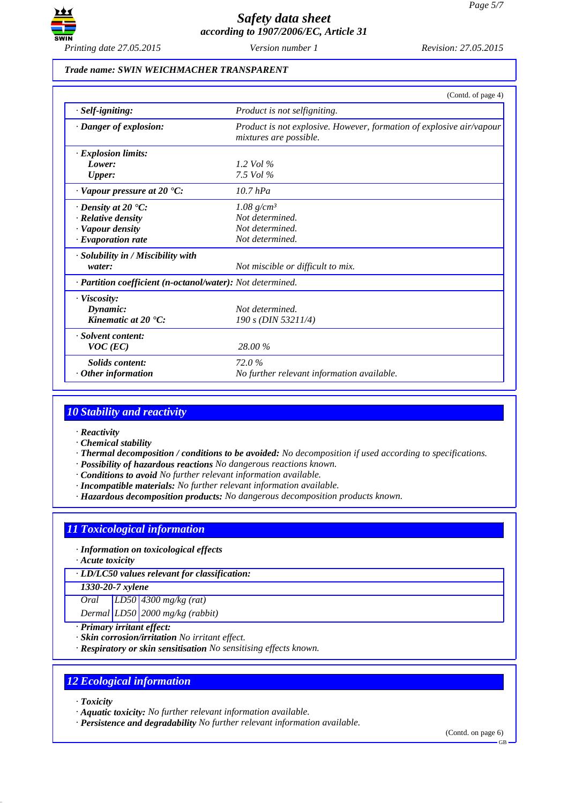

### *Trade name: SWIN WEICHMACHER TRANSPARENT*

|                                                            | (Contd. of page 4)                                                                             |
|------------------------------------------------------------|------------------------------------------------------------------------------------------------|
| $·$ <i>Self-igniting:</i>                                  | Product is not selfigniting.                                                                   |
| · Danger of explosion:                                     | Product is not explosive. However, formation of explosive air/vapour<br>mixtures are possible. |
| $\cdot$ Explosion limits:                                  |                                                                                                |
| Lower:                                                     | 1.2 Vol $\%$                                                                                   |
| <b>Upper:</b>                                              | 7.5 Vol $\%$                                                                                   |
| $\cdot$ Vapour pressure at 20 $\cdot$ C:                   | $10.7$ hPa                                                                                     |
| $\cdot$ Density at 20 $\cdot$ C:                           | 1.08 $g/cm^3$                                                                                  |
| $\cdot$ Relative density                                   | Not determined.                                                                                |
| · Vapour density                                           | Not determined.                                                                                |
| $\cdot$ Evaporation rate                                   | Not determined.                                                                                |
| · Solubility in / Miscibility with                         |                                                                                                |
| water:                                                     | Not miscible or difficult to mix.                                                              |
| · Partition coefficient (n-octanol/water): Not determined. |                                                                                                |
| $\cdot$ Viscosity:                                         |                                                                                                |
| Dynamic:                                                   | Not determined.                                                                                |
| Kinematic at $20 \text{ }^{\circ}C$ :                      | 190 s (DIN 53211/4)                                                                            |
| · Solvent content:                                         |                                                                                                |
| $VOC$ (EC)                                                 | 28.00 %                                                                                        |
| Solids content:                                            | 72.0%                                                                                          |
| $\cdot$ Other information                                  | No further relevant information available.                                                     |

## *10 Stability and reactivity*

- *· Reactivity*
- *· Chemical stability*
- *· Thermal decomposition / conditions to be avoided: No decomposition if used according to specifications.*
- *· Possibility of hazardous reactions No dangerous reactions known.*
- *· Conditions to avoid No further relevant information available.*
- *· Incompatible materials: No further relevant information available.*
- *· Hazardous decomposition products: No dangerous decomposition products known.*

# *11 Toxicological information*

- *· Information on toxicological effects*
- *· Acute toxicity*
- *· LD/LC50 values relevant for classification:*

*1330-20-7 xylene*

*Oral LD50 4300 mg/kg (rat)*

*Dermal LD50 2000 mg/kg (rabbit)*

- *· Primary irritant effect:*
- *· Skin corrosion/irritation No irritant effect.*
- *· Respiratory or skin sensitisation No sensitising effects known.*

## *12 Ecological information*

- *· Toxicity*
- *· Aquatic toxicity: No further relevant information available.*
- *· Persistence and degradability No further relevant information available.*

(Contd. on page 6)

GB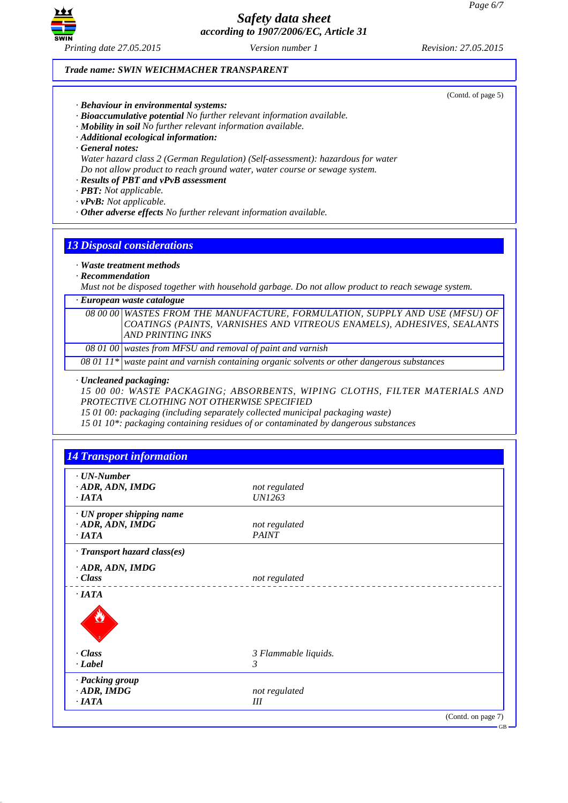

### *Trade name: SWIN WEICHMACHER TRANSPARENT*

- *· Behaviour in environmental systems:*
- *· Bioaccumulative potential No further relevant information available.*
- *· Mobility in soil No further relevant information available.*
- *· Additional ecological information:*
- *· General notes:*

*Water hazard class 2 (German Regulation) (Self-assessment): hazardous for water Do not allow product to reach ground water, water course or sewage system.*

*· Results of PBT and vPvB assessment*

- *· PBT: Not applicable.*
- *· vPvB: Not applicable.*
- *· Other adverse effects No further relevant information available.*

# *13 Disposal considerations*

## *· Waste treatment methods*

*· Recommendation*

*Must not be disposed together with household garbage. Do not allow product to reach sewage system.*

#### *· European waste catalogue*

*08 00 00 WASTES FROM THE MANUFACTURE, FORMULATION, SUPPLY AND USE (MFSU) OF COATINGS (PAINTS, VARNISHES AND VITREOUS ENAMELS), ADHESIVES, SEALANTS AND PRINTING INKS*

*08 01 00 wastes from MFSU and removal of paint and varnish*

*08 01 11\* waste paint and varnish containing organic solvents or other dangerous substances*

#### *· Uncleaned packaging:*

*15 00 00: WASTE PACKAGING; ABSORBENTS, WIPING CLOTHS, FILTER MATERIALS AND PROTECTIVE CLOTHING NOT OTHERWISE SPECIFIED*

*15 01 00: packaging (including separately collected municipal packaging waste)*

*15 01 10\*: packaging containing residues of or contaminated by dangerous substances*

| $\cdot$ UN-Number            |                      |  |
|------------------------------|----------------------|--|
| ADR, ADN, IMDG               | not regulated        |  |
| $\cdot$ IATA                 | <i>UN1263</i>        |  |
| · UN proper shipping name    |                      |  |
| ADR, ADN, IMDG               | not regulated        |  |
| $\cdot$ <i>IATA</i>          | <b>PAINT</b>         |  |
| · Transport hazard class(es) |                      |  |
| ADR, ADN, IMDG               |                      |  |
| $\cdot Class$                | not regulated        |  |
| $\cdot$ IATA                 |                      |  |
|                              |                      |  |
| · Class                      | 3 Flammable liquids. |  |
| $-Label$                     | $\mathfrak{Z}$       |  |
| · Packing group              |                      |  |
| $\cdot$ ADR, IMDG            | not regulated        |  |
| $\cdot$ IATA                 | Ш                    |  |

(Contd. of page 5)